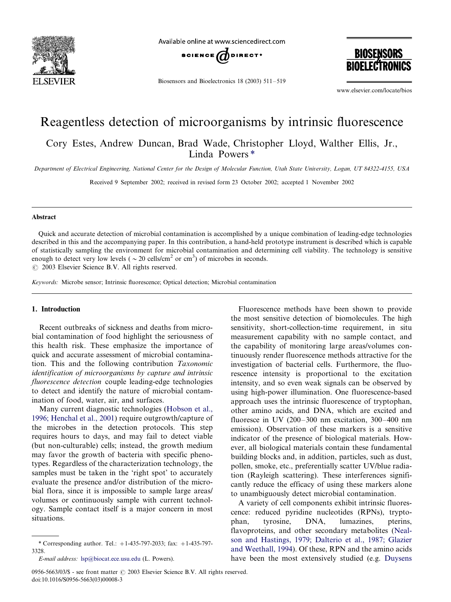

Available online at www.sciencedirect.com



Biosensors and Bioelectronics 18 (2003)  $511-519$ 

**BIOSENSORS BIOFLECTRONICS** 

www.elsevier.com/locate/bios

# Reagentless detection of microorganisms by intrinsic fluorescence

Cory Estes, Andrew Duncan, Brad Wade, Christopher Lloyd, Walther Ellis, Jr., Linda Powers \*

Department of Electrical Engineering, National Center for the Design of Molecular Function, Utah State University, Logan, UT 84322-4155, USA

Received 9 September 2002; received in revised form 23 October 2002; accepted 1 November 2002

## Abstract

Quick and accurate detection of microbial contamination is accomplished by a unique combination of leading-edge technologies described in this and the accompanying paper. In this contribution, a hand-held prototype instrument is described which is capable of statistically sampling the environment for microbial contamination and determining cell viability. The technology is sensitive enough to detect very low levels ( $\sim$  20 cells/cm<sup>2</sup> or cm<sup>3</sup>) of microbes in seconds.  $\odot$  2003 Elsevier Science B.V. All rights reserved.

Keywords: Microbe sensor; Intrinsic fluorescence; Optical detection; Microbial contamination

## 1. Introduction

Recent outbreaks of sickness and deaths from microbial contamination of food highlight the seriousness of this health risk. These emphasize the importance of quick and accurate assessment of microbial contamination. This and the following contribution Taxonomic identification of microorganisms by capture and intrinsic fluorescence detection couple leading-edge technologies to detect and identify the nature of microbial contamination of food, water, air, and surfaces.

Many current diagnostic technologies ([Hobson et al.,](#page-8-0) [1996; Henchal et al., 2001](#page-8-0)) require outgrowth/capture of the microbes in the detection protocols. This step requires hours to days, and may fail to detect viable (but non-culturable) cells; instead, the growth medium may favor the growth of bacteria with specific phenotypes. Regardless of the characterization technology, the samples must be taken in the 'right spot' to accurately evaluate the presence and/or distribution of the microbial flora, since it is impossible to sample large areas/ volumes or continuously sample with current technology. Sample contact itself is a major concern in most situations.

Fluorescence methods have been shown to provide the most sensitive detection of biomolecules. The high sensitivity, short-collection-time requirement, in situ measurement capability with no sample contact, and the capability of monitoring large areas/volumes continuously render fluorescence methods attractive for the investigation of bacterial cells. Furthermore, the fluorescence intensity is proportional to the excitation intensity, and so even weak signals can be observed by using high-power illumination. One fluorescence-based approach uses the intrinsic fluorescence of tryptophan, other amino acids, and DNA, which are excited and fluoresce in UV  $(200-300 \text{ nm}$  excitation,  $300-400 \text{ nm}$ emission). Observation of these markers is a sensitive indicator of the presence of biological materials. However, all biological materials contain these fundamental building blocks and, in addition, particles, such as dust, pollen, smoke, etc., preferentially scatter UV/blue radiation (Rayleigh scattering). These interferences significantly reduce the efficacy of using these markers alone to unambiguously detect microbial contamination.

A variety of cell components exhibit intrinsic fluorescence: reduced pyridine nucleotides (RPNs), tryptophan, tyrosine, DNA, lumazines, pterins, flavoproteins, and other secondary metabolites [\(Neal](#page-8-0)[son and Hastings, 1979; Dalterio et al., 1987; Glazier](#page-8-0) [and Weethall, 1994](#page-8-0)). Of these, RPN and the amino acids have been the most extensively studied (e.g. [Duysens](#page-7-0)

<sup>\*</sup> Corresponding author. Tel.:  $+1-435-797-2033$ ; fax:  $+1-435-797-$ 3328.

E-mail address: [lsp@biocat.ece.usu.edu](mailto:lsp@biocat.ece.usu.edu) (L. Powers).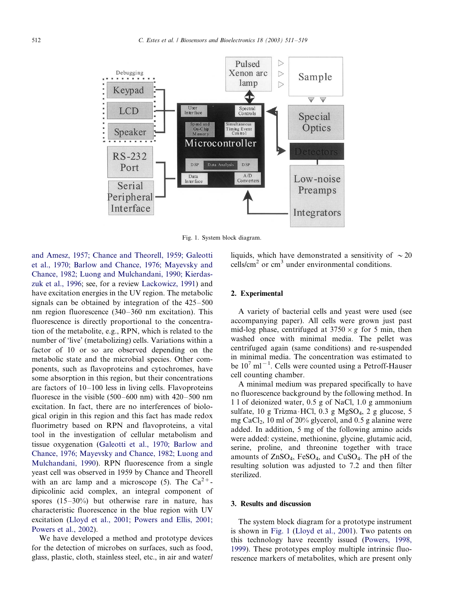

Fig. 1. System block diagram.

[and Amesz, 1957; Chance and Theorell, 1959; Galeotti](#page-7-0) [et al., 1970; Barlow and Chance, 1976; Maye](#page-7-0)vsky and [Chance, 1982; Luong and Mulchandani, 1990; Kierdas](#page-7-0)[zuk et al., 1996;](#page-7-0) see, for a review [Lackowicz, 1991](#page-8-0)) and have excitation energies in the UV region. The metabolic signals can be obtained by integration of the  $425-500$ nm region fluorescence  $(340-360 \text{ nm}$  excitation). This fluorescence is directly proportional to the concentration of the metabolite, e.g., RPN, which is related to the number of 'live' (metabolizing) cells. Variations within a factor of 10 or so are observed depending on the metabolic state and the microbial species. Other components, such as flavoproteins and cytochromes, have some absorption in this region, but their concentrations are factors of  $10-100$  less in living cells. Flavoproteins fluoresce in the visible  $(500-600 \text{ nm})$  with  $420-500 \text{ nm}$ excitation. In fact, there are no interferences of biological origin in this region and this fact has made redox fluorimetry based on RPN and flavoproteins, a vital tool in the investigation of cellular metabolism and tissue oxygenation ([Galeotti et al., 1970; Barlow and](#page-7-0) Chance, 1976; Mayev[sky and Chance, 1982; Luong and](#page-7-0) [Mulchandani, 1990\)](#page-7-0). RPN fluorescence from a single yeast cell was observed in 1959 by Chance and Theorell with an arc lamp and a microscope (5). The  $Ca^{2+}$ dipicolinic acid complex, an integral component of spores  $(15-30\%)$  but otherwise rare in nature, has characteristic fluorescence in the blue region with UV excitation [\(Lloyd et al., 2001; Powers and Ellis, 2001;](#page-8-0) [Powers et al., 2002](#page-8-0)).

We have developed a method and prototype devices for the detection of microbes on surfaces, such as food, glass, plastic, cloth, stainless steel, etc., in air and water/

liquids, which have demonstrated a sensitivity of  $\sim 20$ cells/cm<sup>2</sup> or cm<sup>3</sup> under environmental conditions.

# 2. Experimental

A variety of bacterial cells and yeast were used (see accompanying paper). All cells were grown just past mid-log phase, centrifuged at  $3750 \times g$  for 5 min, then washed once with minimal media. The pellet was centrifuged again (same conditions) and re-suspended in minimal media. The concentration was estimated to be  $10^7$  ml<sup>-1</sup>. Cells were counted using a Petroff-Hauser cell counting chamber.

A minimal medium was prepared specifically to have no fluorescence background by the following method. In 1 l of deionized water, 0.5 g of NaCl, 1.0 g ammonium sulfate, 10 g Trizma HCl, 0.3 g MgSO<sub>4</sub>, 2 g glucose, 5 mg CaCl<sub>2</sub>, 10 ml of 20% glycerol, and 0.5 g alanine were added. In addition, 5 mg of the following amino acids were added: cysteine, methionine, glycine, glutamic acid, serine, proline, and threonine together with trace amounts of  $ZnSO_4$ , FeSO<sub>4</sub>, and CuSO<sub>4</sub>. The pH of the resulting solution was adjusted to 7.2 and then filter sterilized.

# 3. Results and discussion

The system block diagram for a prototype instrument is shown in Fig. 1 ([Lloyd et al., 2001](#page-8-0)). Two patents on this technology have recently issued [\(Powers, 1998,](#page-8-0) [1999\)](#page-8-0). These prototypes employ multiple intrinsic fluorescence markers of metabolites, which are present only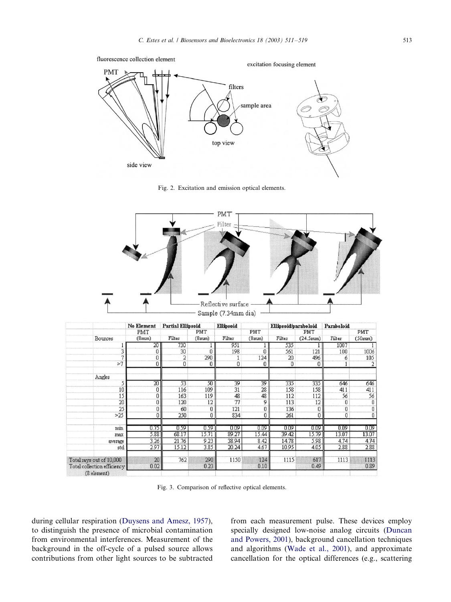<span id="page-2-0"></span>

Fig. 2. Excitation and emission optical elements.



|                             | <b>No Element</b> | <b>Partial Ellipsoid</b> |       | Ellipsoid |       | Ellipsoid/paraboloid |          | Paraboloid |        |
|-----------------------------|-------------------|--------------------------|-------|-----------|-------|----------------------|----------|------------|--------|
|                             | PMT               |                          | PMT   |           | PMT   |                      | PMT      |            | PMT    |
| Bounces                     | (8nm)             | Filter                   | (8mm) | Filter    | (8mm) | Filter               | (24.5mm) | Filter     | (50mm) |
|                             | 20                | 730                      |       | 951       |       | 535                  |          | 1007       |        |
| 3                           |                   | 30                       |       | 198       | Ω     | 561                  | 121      | 100        | 1006   |
|                             |                   | 2                        | 290   |           | 124   | 20                   | 496      | ń          | 105    |
| >7                          | 0                 | 0                        | 0     | 0         | 0     | 0                    | 0        |            |        |
| Angles                      |                   |                          |       |           |       |                      |          |            |        |
|                             | $\overline{20}$   | 53                       | 50    | 39        | 39    | 335                  | 335      | 646        | 646    |
| 10                          | 0                 | 116                      | 109   | 31        | 28    | 158                  | 158      | 411        | 411    |
| 15                          | U                 | 163                      | 119   | 48        | 48    | 112                  | 112      | 56         | 56     |
| 20                          | n                 | 120                      | 12    | 77        | g     | 113                  | 12       | n          | 0      |
| 25                          |                   | 60                       |       | 121       | 0     | 136                  | 0        | 0          | 0      |
| >25                         |                   | 250                      |       | 834       |       | 261                  | 0        | 0          | 0      |
| min                         | 0.75              | 0.59                     | 0.59  | 0.09      | 0.09  | 0.09                 | 0.09     | 0.09       | 0.09   |
| max                         | 5.88              | 68.17                    | 15.71 | 89.27     | 15.44 | 39.42                | 15.79    | 13.07      | 13.07  |
| average                     | 3.26              | 21.76                    | 9.23  | 38.94     | 8.42  | 14.78                | 5.98     | 4.74       | 4.74   |
| std                         | 2.97              | 15.12                    | 3.85  | 20.24     | 4.67  | 10.95                | 4.05     | 2.88       | 2.88   |
| Total rays out of 10,000    | 20                | 762                      | 290   | 1150      | 124   | 1115                 | 617      | 1113       | 1113   |
| Total collection efficiency | 0.02              |                          | 0.23  |           | 0.10  |                      | 0.49     |            | 0.89   |
| (8 element)                 |                   |                          |       |           |       |                      |          |            |        |

Fig. 3. Comparison of reflective optical elements.

during cellular respiration [\(Duysens and Amesz, 1957\)](#page-7-0), to distinguish the presence of microbial contamination from environmental interferences. Measurement of the background in the off-cycle of a pulsed source allows contributions from other light sources to be subtracted

from each measurement pulse. These devices employ specially designed low-noise analog circuits ([Duncan](#page-7-0) [and Powers, 2001\)](#page-7-0), background cancellation techniques and algorithms [\(Wade et al., 2001\)](#page-8-0), and approximate cancellation for the optical differences (e.g., scattering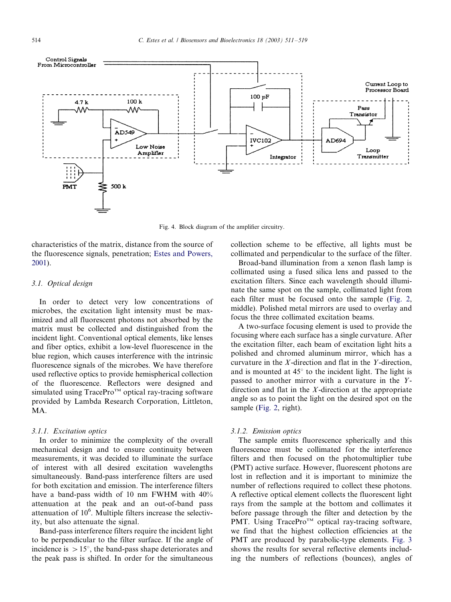<span id="page-3-0"></span>

Fig. 4. Block diagram of the amplifier circuitry.

characteristics of the matrix, distance from the source of the fluorescence signals, penetration; [Estes and Powers,](#page-7-0) [2001\)](#page-7-0).

## 3.1. Optical design

In order to detect very low concentrations of microbes, the excitation light intensity must be maximized and all fluorescent photons not absorbed by the matrix must be collected and distinguished from the incident light. Conventional optical elements, like lenses and fiber optics, exhibit a low-level fluorescence in the blue region, which causes interference with the intrinsic fluorescence signals of the microbes. We have therefore used reflective optics to provide hemispherical collection of the fluorescence. Reflectors were designed and simulated using TracePro<sup>™</sup> optical ray-tracing software provided by Lambda Research Corporation, Littleton, MA.

#### 3.1.1. Excitation optics

In order to minimize the complexity of the overall mechanical design and to ensure continuity between measurements, it was decided to illuminate the surface of interest with all desired excitation wavelengths simultaneously. Band-pass interference filters are used for both excitation and emission. The interference filters have a band-pass width of 10 nm FWHM with 40% attenuation at the peak and an out-of-band pass attenuation of  $10<sup>6</sup>$ . Multiple filters increase the selectivity, but also attenuate the signal.

Band-pass interference filters require the incident light to be perpendicular to the filter surface. If the angle of incidence is  $> 15^{\circ}$ , the band-pass shape deteriorates and the peak pass is shifted. In order for the simultaneous collection scheme to be effective, all lights must be collimated and perpendicular to the surface of the filter.

Broad-band illumination from a xenon flash lamp is collimated using a fused silica lens and passed to the excitation filters. Since each wavelength should illuminate the same spot on the sample, collimated light from each filter must be focused onto the sample [\(Fig. 2](#page-2-0), middle). Polished metal mirrors are used to overlay and focus the three collimated excitation beams.

A two-surface focusing element is used to provide the focusing where each surface has a single curvature. After the excitation filter, each beam of excitation light hits a polished and chromed aluminum mirror, which has a curvature in the X-direction and flat in the Y-direction, and is mounted at  $45^\circ$  to the incident light. The light is passed to another mirror with a curvature in the Ydirection and flat in the X-direction at the appropriate angle so as to point the light on the desired spot on the sample [\(Fig. 2,](#page-2-0) right).

#### 3.1.2. Emission optics

The sample emits fluorescence spherically and this fluorescence must be collimated for the interference filters and then focused on the photomultiplier tube (PMT) active surface. However, fluorescent photons are lost in reflection and it is important to minimize the number of reflections required to collect these photons. A reflective optical element collects the fluorescent light rays from the sample at the bottom and collimates it before passage through the filter and detection by the PMT. Using TracePro<sup>TM</sup> optical ray-tracing software, we find that the highest collection efficiencies at the PMT are produced by parabolic-type elements. [Fig. 3](#page-2-0) shows the results for several reflective elements including the numbers of reflections (bounces), angles of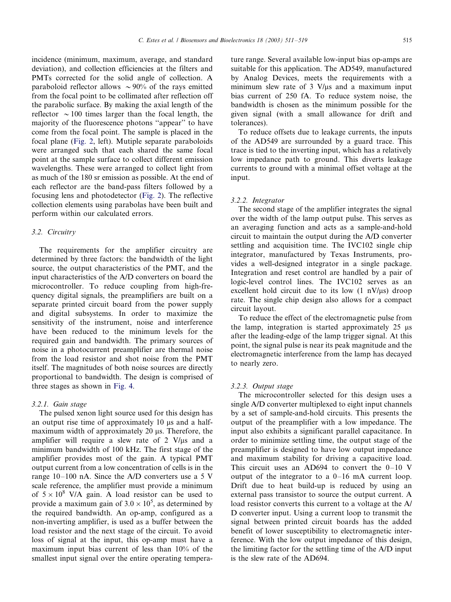incidence (minimum, maximum, average, and standard deviation), and collection efficiencies at the filters and PMTs corrected for the solid angle of collection. A paraboloid reflector allows  $\sim$ 90% of the rays emitted from the focal point to be collimated after reflection off the parabolic surface. By making the axial length of the reflector  $\sim 100$  times larger than the focal length, the majority of the fluorescence photons ''appear'' to have come from the focal point. The sample is placed in the focal plane ([Fig. 2,](#page-2-0) left). Mutiple separate paraboloids were arranged such that each shared the same focal point at the sample surface to collect different emission wavelengths. These were arranged to collect light from as much of the 180 sr emission as possible. At the end of each reflector are the band-pass filters followed by a focusing lens and photodetector [\(Fig. 2\)](#page-2-0). The reflective collection elements using parabolas have been built and perform within our calculated errors.

## 3.2. Circuitry

The requirements for the amplifier circuitry are determined by three factors: the bandwidth of the light source, the output characteristics of the PMT, and the input characteristics of the A/D converters on board the microcontroller. To reduce coupling from high-frequency digital signals, the preamplifiers are built on a separate printed circuit board from the power supply and digital subsystems. In order to maximize the sensitivity of the instrument, noise and interference have been reduced to the minimum levels for the required gain and bandwidth. The primary sources of noise in a photocurrent preamplifier are thermal noise from the load resistor and shot noise from the PMT itself. The magnitudes of both noise sources are directly proportional to bandwidth. The design is comprised of three stages as shown in [Fig. 4](#page-3-0).

#### 3.2.1. Gain stage

The pulsed xenon light source used for this design has an output rise time of approximately  $10 \mu s$  and a halfmaximum width of approximately 20 us. Therefore, the amplifier will require a slew rate of  $2 \text{ V/}\mu\text{s}$  and a minimum bandwidth of 100 kHz. The first stage of the amplifier provides most of the gain. A typical PMT output current from a low concentration of cells is in the range  $10-100$  nA. Since the A/D converters use a 5 V scale reference, the amplifier must provide a minimum of  $5 \times 10^8$  V/A gain. A load resistor can be used to provide a maximum gain of  $3.0 \times 10^5$ , as determined by the required bandwidth. An op-amp, configured as a non-inverting amplifier, is used as a buffer between the load resistor and the next stage of the circuit. To avoid loss of signal at the input, this op-amp must have a maximum input bias current of less than 10% of the smallest input signal over the entire operating tempera-

ture range. Several available low-input bias op-amps are suitable for this application. The AD549, manufactured by Analog Devices, meets the requirements with a minimum slew rate of  $3 \frac{\text{V}}{\text{u}}$  and a maximum input bias current of 250 fA. To reduce system noise, the bandwidth is chosen as the minimum possible for the given signal (with a small allowance for drift and tolerances).

To reduce offsets due to leakage currents, the inputs of the AD549 are surrounded by a guard trace. This trace is tied to the inverting input, which has a relatively low impedance path to ground. This diverts leakage currents to ground with a minimal offset voltage at the input.

## 3.2.2. Integrator

The second stage of the amplifier integrates the signal over the width of the lamp output pulse. This serves as an averaging function and acts as a sample-and-hold circuit to maintain the output during the A/D converter settling and acquisition time. The IVC102 single chip integrator, manufactured by Texas Instruments, provides a well-designed integrator in a single package. Integration and reset control are handled by a pair of logic-level control lines. The IVC102 serves as an excellent hold circuit due to its low  $(1 \text{ nV/}\mu\text{s})$  droop rate. The single chip design also allows for a compact circuit layout.

To reduce the effect of the electromagnetic pulse from the lamp, integration is started approximately  $25 \text{ }\mu\text{s}$ after the leading-edge of the lamp trigger signal. At this point, the signal pulse is near its peak magnitude and the electromagnetic interference from the lamp has decayed to nearly zero.

#### 3.2.3. Output stage

The microcontroller selected for this design uses a single A/D converter multiplexed to eight input channels by a set of sample-and-hold circuits. This presents the output of the preamplifier with a low impedance. The input also exhibits a significant parallel capacitance. In order to minimize settling time, the output stage of the preamplifier is designed to have low output impedance and maximum stability for driving a capacitive load. This circuit uses an AD694 to convert the  $0-10$  V output of the integrator to a  $0-16$  mA current loop. Drift due to heat build-up is reduced by using an external pass transistor to source the output current. A load resistor converts this current to a voltage at the A/ D converter input. Using a current loop to transmit the signal between printed circuit boards has the added benefit of lower susceptibility to electromagnetic interference. With the low output impedance of this design, the limiting factor for the settling time of the A/D input is the slew rate of the AD694.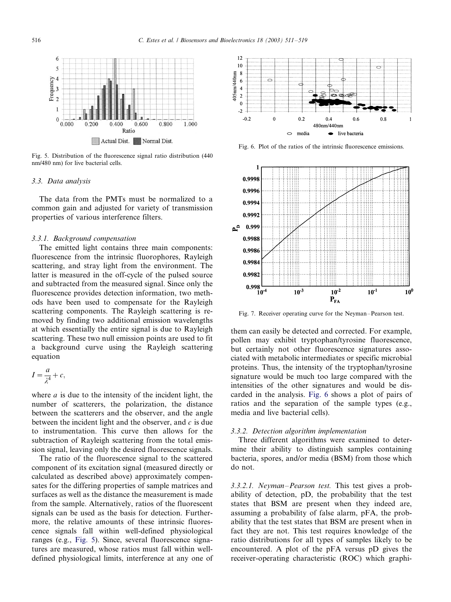<span id="page-5-0"></span>

Fig. 5. Distribution of the fluorescence signal ratio distribution (440 nm/480 nm) for live bacterial cells.

### 3.3. Data analysis

The data from the PMTs must be normalized to a common gain and adjusted for variety of transmission properties of various interference filters.

#### 3.3.1. Background compensation

The emitted light contains three main components: fluorescence from the intrinsic fluorophores, Rayleigh scattering, and stray light from the environment. The latter is measured in the off-cycle of the pulsed source and subtracted from the measured signal. Since only the fluorescence provides detection information, two methods have been used to compensate for the Rayleigh scattering components. The Rayleigh scattering is removed by finding two additional emission wavelengths at which essentially the entire signal is due to Rayleigh scattering. These two null emission points are used to fit a background curve using the Rayleigh scattering equation

$$
I = \frac{a}{\lambda^4} + c,
$$

where  $a$  is due to the intensity of the incident light, the number of scatterers, the polarization, the distance between the scatterers and the observer, and the angle between the incident light and the observer, and  $c$  is due to instrumentation. This curve then allows for the subtraction of Rayleigh scattering from the total emission signal, leaving only the desired fluorescence signals.

The ratio of the fluorescence signal to the scattered component of its excitation signal (measured directly or calculated as described above) approximately compensates for the differing properties of sample matrices and surfaces as well as the distance the measurement is made from the sample. Alternatively, ratios of the fluorescent signals can be used as the basis for detection. Furthermore, the relative amounts of these intrinsic fluorescence signals fall within well-defined physiological ranges (e.g., Fig. 5). Since, several fluorescence signatures are measured, whose ratios must fall within welldefined physiological limits, interference at any one of



Fig. 6. Plot of the ratios of the intrinsic fluorescence emissions.



Fig. 7. Receiver operating curve for the Neyman-Pearson test.

them can easily be detected and corrected. For example, pollen may exhibit tryptophan/tyrosine fluorescence, but certainly not other fluorescence signatures associated with metabolic intermediates or specific microbial proteins. Thus, the intensity of the tryptophan/tyrosine signature would be much too large compared with the intensities of the other signatures and would be discarded in the analysis. Fig. 6 shows a plot of pairs of ratios and the separation of the sample types (e.g., media and live bacterial cells).

#### 3.3.2. Detection algorithm implementation

Three different algorithms were examined to determine their ability to distinguish samples containing bacteria, spores, and/or media (BSM) from those which do not.

3.3.2.1. Neyman–Pearson test. This test gives a probability of detection, pD, the probability that the test states that BSM are present when they indeed are, assuming a probability of false alarm, pFA, the probability that the test states that BSM are present when in fact they are not. This test requires knowledge of the ratio distributions for all types of samples likely to be encountered. A plot of the pFA versus pD gives the receiver-operating characteristic (ROC) which graphi-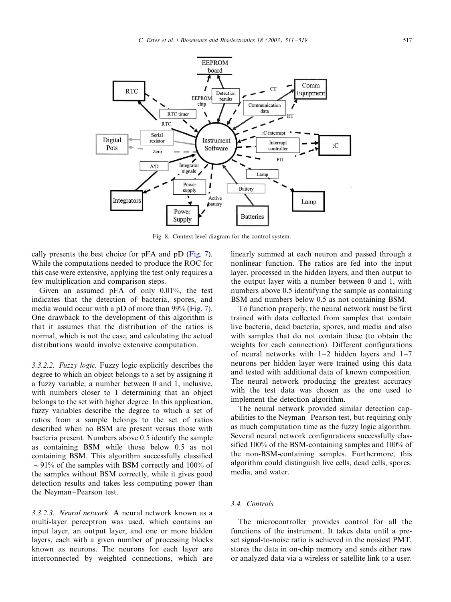<span id="page-6-0"></span>

Fig. 8. Context level diagram for the control system.

cally presents the best choice for pFA and pD [\(Fig. 7\)](#page-5-0). While the computations needed to produce the ROC for this case were extensive, applying the test only requires a few multiplication and comparison steps.

Given an assumed pFA of only 0.01%, the test indicates that the detection of bacteria, spores, and media would occur with a pD of more than 99% [\(Fig. 7\)](#page-5-0). One drawback to the development of this algorithm is that it assumes that the distribution of the ratios is normal, which is not the case, and calculating the actual distributions would involve extensive computation.

3.3.2.2. Fuzzy logic. Fuzzy logic explicitly describes the degree to which an object belongs to a set by assigning it a fuzzy variable, a number between 0 and 1, inclusive, with numbers closer to 1 determining that an object belongs to the set with higher degree. In this application, fuzzy variables describe the degree to which a set of ratios from a sample belongs to the set of ratios described when no BSM are present versus those with bacteria present. Numbers above 0.5 identify the sample as containing BSM while those below 0.5 as not containing BSM. This algorithm successfully classified  $\sim$  91% of the samples with BSM correctly and 100% of the samples without BSM correctly, while it gives good detection results and takes less computing power than the Neyman-Pearson test.

3.3.2.3. Neural network. A neural network known as a multi-layer perceptron was used, which contains an input layer, an output layer, and one or more hidden layers, each with a given number of processing blocks known as neurons. The neurons for each layer are interconnected by weighted connections, which are linearly summed at each neuron and passed through a nonlinear function. The ratios are fed into the input layer, processed in the hidden layers, and then output to the output layer with a number between 0 and 1, with numbers above 0.5 identifying the sample as containing BSM and numbers below 0.5 as not containing BSM.

To function properly, the neural network must be first trained with data collected from samples that contain live bacteria, dead bacteria, spores, and media and also with samples that do not contain these (to obtain the weights for each connection). Different configurations of neural networks with  $1-2$  hidden layers and  $1-7$ neurons per hidden layer were trained using this data and tested with additional data of known composition. The neural network producing the greatest accuracy with the test data was chosen as the one used to implement the detection algorithm.

The neural network provided similar detection capabilities to the Neyman-Pearson test, but requiring only as much computation time as the fuzzy logic algorithm. Several neural network configurations successfully classified 100% of the BSM-containing samples and 100% of the non-BSM-containing samples. Furthermore, this algorithm could distinguish live cells, dead cells, spores, media, and water.

# 3.4. Controls

The microcontroller provides control for all the functions of the instrument. It takes data until a preset signal-to-noise ratio is achieved in the noisiest PMT, stores the data in on-chip memory and sends either raw or analyzed data via a wireless or satellite link to a user.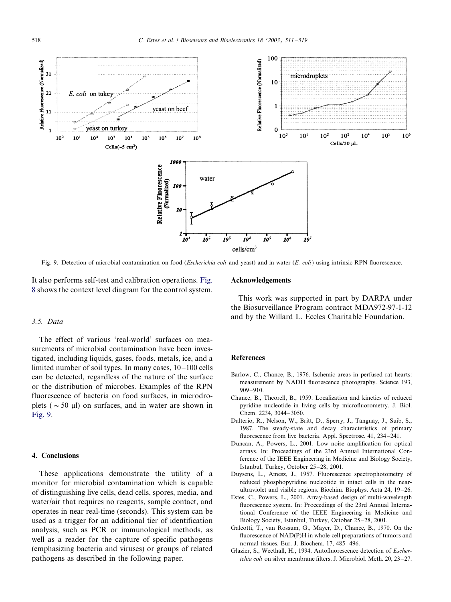<span id="page-7-0"></span>

Fig. 9. Detection of microbial contamination on food (*Escherichia coli* and yeast) and in water (*E. coli*) using intrinsic RPN fluorescence.

It also performs self-test and calibration operations. [Fig.](#page-6-0) [8](#page-6-0) shows the context level diagram for the control system.

### 3.5. Data

The effect of various 'real-world' surfaces on measurements of microbial contamination have been investigated, including liquids, gases, foods, metals, ice, and a limited number of soil types. In many cases,  $10-100$  cells can be detected, regardless of the nature of the surface or the distribution of microbes. Examples of the RPN fluorescence of bacteria on food surfaces, in microdroplets ( $\sim$  50  $\mu$ ) on surfaces, and in water are shown in Fig. 9.

## 4. Conclusions

These applications demonstrate the utility of a monitor for microbial contamination which is capable of distinguishing live cells, dead cells, spores, media, and water/air that requires no reagents, sample contact, and operates in near real-time (seconds). This system can be used as a trigger for an additional tier of identification analysis, such as PCR or immunological methods, as well as a reader for the capture of specific pathogens (emphasizing bacteria and viruses) or groups of related pathogens as described in the following paper.

#### Acknowledgements

This work was supported in part by DARPA under the Biosurveillance Program contract MDA972-97-1-12 and by the Willard L. Eccles Charitable Foundation.

## **References**

- Barlow, C., Chance, B., 1976. Ischemic areas in perfused rat hearts: measurement by NADH fluorescence photography. Science 193,  $909 - 910.$
- Chance, B., Theorell, B., 1959. Localization and kinetics of reduced pyridine nucleotide in living cells by microfluorometry. J. Biol. Chem. 2234, 3044-3050.
- Dalterio, R., Nelson, W., Britt, D., Sperry, J., Tanguay, J., Suib, S., 1987. The steady-state and decay characteristics of primary fluorescence from live bacteria. Appl. Spectrosc. 41, 234-241.
- Duncan, A., Powers, L., 2001. Low noise amplification for optical arrays. In: Proceedings of the 23rd Annual International Conference of the IEEE Engineering in Medicine and Biology Society, Istanbul, Turkey, October 25-28, 2001.
- Duysens, L., Amesz, J., 1957. Fluorescence spectrophotometry of reduced phosphopyridine nucleotide in intact cells in the nearultraviolet and visible regions. Biochim. Biophys. Acta  $24$ ,  $19-26$ .
- Estes, C., Powers, L., 2001. Array-based design of multi-wavelength fluorescence system. In: Proceedings of the 23rd Annual International Conference of the IEEE Engineering in Medicine and Biology Society, Istanbul, Turkey, October 25-28, 2001.
- Galeotti, T., van Rossum, G., Mayer, D., Chance, B., 1970. On the fluorescence of NAD(P)H in whole-cell preparations of tumors and normal tissues. Eur. J. Biochem. 17, 485-496.
- Glazier, S., Weethall, H., 1994. Autofluorescence detection of Escher $i$ *chia coli* on silver membrane filters. J. Microbiol. Meth. 20, 23-27.